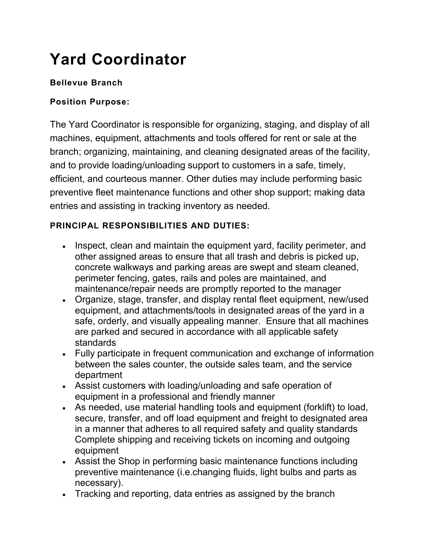# **Yard Coordinator**

## **Bellevue Branch**

## **Position Purpose:**

The Yard Coordinator is responsible for organizing, staging, and display of all machines, equipment, attachments and tools offered for rent or sale at the branch; organizing, maintaining, and cleaning designated areas of the facility, and to provide loading/unloading support to customers in a safe, timely, efficient, and courteous manner. Other duties may include performing basic preventive fleet maintenance functions and other shop support; making data entries and assisting in tracking inventory as needed.

## **PRINCIPAL RESPONSIBILITIES AND DUTIES:**

- Inspect, clean and maintain the equipment yard, facility perimeter, and other assigned areas to ensure that all trash and debris is picked up, concrete walkways and parking areas are swept and steam cleaned, perimeter fencing, gates, rails and poles are maintained, and maintenance/repair needs are promptly reported to the manager
- Organize, stage, transfer, and display rental fleet equipment, new/used equipment, and attachments/tools in designated areas of the yard in a safe, orderly, and visually appealing manner. Ensure that all machines are parked and secured in accordance with all applicable safety standards
- Fully participate in frequent communication and exchange of information between the sales counter, the outside sales team, and the service department
- Assist customers with loading/unloading and safe operation of equipment in a professional and friendly manner
- As needed, use material handling tools and equipment (forklift) to load, secure, transfer, and off load equipment and freight to designated area in a manner that adheres to all required safety and quality standards Complete shipping and receiving tickets on incoming and outgoing equipment
- Assist the Shop in performing basic maintenance functions including preventive maintenance (i.e.changing fluids, light bulbs and parts as necessary).
- Tracking and reporting, data entries as assigned by the branch